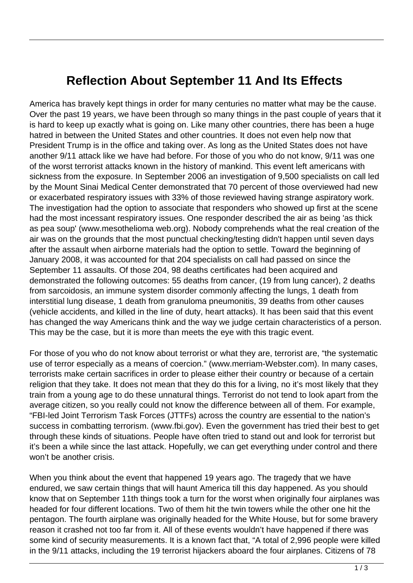## **Reflection About September 11 And Its Effects**

America has bravely kept things in order for many centuries no matter what may be the cause. Over the past 19 years, we have been through so many things in the past couple of years that it is hard to keep up exactly what is going on. Like many other countries, there has been a huge hatred in between the United States and other countries. It does not even help now that President Trump is in the office and taking over. As long as the United States does not have another 9/11 attack like we have had before. For those of you who do not know, 9/11 was one of the worst terrorist attacks known in the history of mankind. This event left americans with sickness from the exposure. In September 2006 an investigation of 9,500 specialists on call led by the Mount Sinai Medical Center demonstrated that 70 percent of those overviewed had new or exacerbated respiratory issues with 33% of those reviewed having strange aspiratory work. The investigation had the option to associate that responders who showed up first at the scene had the most incessant respiratory issues. One responder described the air as being 'as thick as pea soup' (www.mesothelioma web.org). Nobody comprehends what the real creation of the air was on the grounds that the most punctual checking/testing didn't happen until seven days after the assault when airborne materials had the option to settle. Toward the beginning of January 2008, it was accounted for that 204 specialists on call had passed on since the September 11 assaults. Of those 204, 98 deaths certificates had been acquired and demonstrated the following outcomes: 55 deaths from cancer, (19 from lung cancer), 2 deaths from sarcoidosis, an immune system disorder commonly affecting the lungs, 1 death from interstitial lung disease, 1 death from granuloma pneumonitis, 39 deaths from other causes (vehicle accidents, and killed in the line of duty, heart attacks). It has been said that this event has changed the way Americans think and the way we judge certain characteristics of a person. This may be the case, but it is more than meets the eye with this tragic event.

For those of you who do not know about terrorist or what they are, terrorist are, "the systematic use of terror especially as a means of coercion." (www.merriam-Webster.com). In many cases, terrorists make certain sacrifices in order to please either their country or because of a certain religion that they take. It does not mean that they do this for a living, no it's most likely that they train from a young age to do these unnatural things. Terrorist do not tend to look apart from the average citizen, so you really could not know the difference between all of them. For example, "FBI-led Joint Terrorism Task Forces (JTTFs) across the country are essential to the nation's success in combatting terrorism. (www.fbi.gov). Even the government has tried their best to get through these kinds of situations. People have often tried to stand out and look for terrorist but it's been a while since the last attack. Hopefully, we can get everything under control and there won't be another crisis.

When you think about the event that happened 19 years ago. The tragedy that we have endured, we saw certain things that will haunt America till this day happened. As you should know that on September 11th things took a turn for the worst when originally four airplanes was headed for four different locations. Two of them hit the twin towers while the other one hit the pentagon. The fourth airplane was originally headed for the White House, but for some bravery reason it crashed not too far from it. All of these events wouldn't have happened if there was some kind of security measurements. It is a known fact that, "A total of 2,996 people were killed in the 9/11 attacks, including the 19 terrorist hijackers aboard the four airplanes. Citizens of 78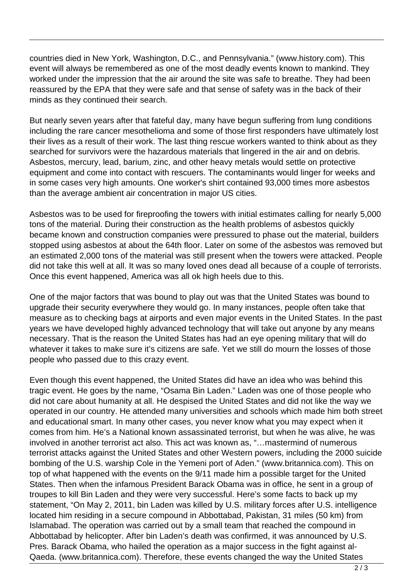countries died in New York, Washington, D.C., and Pennsylvania." (www.history.com). This event will always be remembered as one of the most deadly events known to mankind. They worked under the impression that the air around the site was safe to breathe. They had been reassured by the EPA that they were safe and that sense of safety was in the back of their minds as they continued their search.

But nearly seven years after that fateful day, many have begun suffering from lung conditions including the rare cancer mesothelioma and some of those first responders have ultimately lost their lives as a result of their work. The last thing rescue workers wanted to think about as they searched for survivors were the hazardous materials that lingered in the air and on debris. Asbestos, mercury, lead, barium, zinc, and other heavy metals would settle on protective equipment and come into contact with rescuers. The contaminants would linger for weeks and in some cases very high amounts. One worker's shirt contained 93,000 times more asbestos than the average ambient air concentration in major US cities.

Asbestos was to be used for fireproofing the towers with initial estimates calling for nearly 5,000 tons of the material. During their construction as the health problems of asbestos quickly became known and construction companies were pressured to phase out the material, builders stopped using asbestos at about the 64th floor. Later on some of the asbestos was removed but an estimated 2,000 tons of the material was still present when the towers were attacked. People did not take this well at all. It was so many loved ones dead all because of a couple of terrorists. Once this event happened, America was all ok high heels due to this.

One of the major factors that was bound to play out was that the United States was bound to upgrade their security everywhere they would go. In many instances, people often take that measure as to checking bags at airports and even major events in the United States. In the past years we have developed highly advanced technology that will take out anyone by any means necessary. That is the reason the United States has had an eye opening military that will do whatever it takes to make sure it's citizens are safe. Yet we still do mourn the losses of those people who passed due to this crazy event.

Even though this event happened, the United States did have an idea who was behind this tragic event. He goes by the name, "Osama Bin Laden." Laden was one of those people who did not care about humanity at all. He despised the United States and did not like the way we operated in our country. He attended many universities and schools which made him both street and educational smart. In many other cases, you never know what you may expect when it comes from him. He's a National known assassinated terrorist, but when he was alive, he was involved in another terrorist act also. This act was known as, "…mastermind of numerous terrorist attacks against the United States and other Western powers, including the 2000 suicide bombing of the U.S. warship Cole in the Yemeni port of Aden." (www.britannica.com). This on top of what happened with the events on the 9/11 made him a possible target for the United States. Then when the infamous President Barack Obama was in office, he sent in a group of troupes to kill Bin Laden and they were very successful. Here's some facts to back up my statement, "On May 2, 2011, bin Laden was killed by U.S. military forces after U.S. intelligence located him residing in a secure compound in Abbottabad, Pakistan, 31 miles (50 km) from Islamabad. The operation was carried out by a small team that reached the compound in Abbottabad by helicopter. After bin Laden's death was confirmed, it was announced by U.S. Pres. Barack Obama, who hailed the operation as a major success in the fight against al-Qaeda. (www.britannica.com). Therefore, these events changed the way the United States